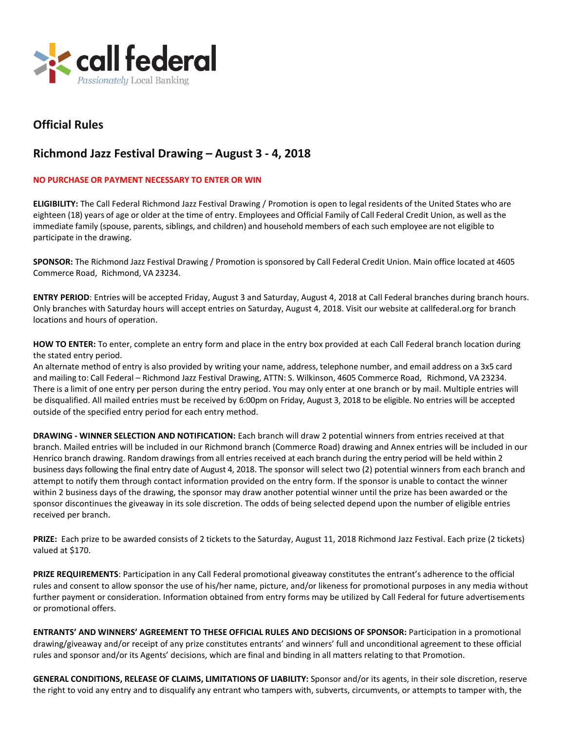

## **Official Rules**

## **Richmond Jazz Festival Drawing – August 3 - 4, 2018**

## **NO PURCHASE OR PAYMENT NECESSARY TO ENTER OR WIN**

**ELIGIBILITY:** The Call Federal Richmond Jazz Festival Drawing / Promotion is open to legal residents of the United States who are eighteen (18) years of age or older at the time of entry. Employees and Official Family of Call Federal Credit Union, as well asthe immediate family (spouse, parents, siblings, and children) and household members of each such employee are not eligible to participate in the drawing.

**SPONSOR:** The Richmond Jazz Festival Drawing / Promotion is sponsored by Call Federal Credit Union. Main office located at 4605 Commerce Road, Richmond, VA 23234.

**ENTRY PERIOD**: Entries will be accepted Friday, August 3 and Saturday, August 4, 2018 at Call Federal branches during branch hours. Only branches with Saturday hours will accept entries on Saturday, August 4, 2018. Visit our website at callfederal.org for branch locations and hours of operation.

**HOW TO ENTER:** To enter, complete an entry form and place in the entry box provided at each Call Federal branch location during the stated entry period.

An alternate method of entry is also provided by writing your name, address, telephone number, and email address on a 3x5 card and mailing to: Call Federal – Richmond Jazz Festival Drawing, ATTN: S. Wilkinson, 4605 Commerce Road, Richmond, VA 23234. There is a limit of one entry per person during the entry period. You may only enter at one branch or by mail. Multiple entries will be disqualified. All mailed entries must be received by 6:00pm on Friday, August 3, 2018 to be eligible. No entries will be accepted outside of the specified entry period for each entry method.

**DRAWING - WINNER SELECTION AND NOTIFICATION:** Each branch will draw 2 potential winners from entries received at that branch. Mailed entries will be included in our Richmond branch (Commerce Road) drawing and Annex entries will be included in our Henrico branch drawing. Random drawings from all entries received at each branch during the entry period will be held within 2 business days following the final entry date of August 4, 2018. The sponsor will select two (2) potential winners from each branch and attempt to notify them through contact information provided on the entry form. If the sponsor is unable to contact the winner within 2 business days of the drawing, the sponsor may draw another potential winner until the prize has been awarded or the sponsor discontinues the giveaway in its sole discretion. The odds of being selected depend upon the number of eligible entries received per branch.

**PRIZE:** Each prize to be awarded consists of 2 tickets to the Saturday, August 11, 2018 Richmond Jazz Festival. Each prize (2 tickets) valued at \$170.

**PRIZE REQUIREMENTS**: Participation in any Call Federal promotional giveaway constitutes the entrant's adherence to the official rules and consent to allow sponsor the use of his/her name, picture, and/or likeness for promotional purposes in any media without further payment or consideration. Information obtained from entry forms may be utilized by Call Federal for future advertisements or promotional offers.

**ENTRANTS' AND WINNERS' AGREEMENT TO THESE OFFICIAL RULES AND DECISIONS OF SPONSOR:** Participation in a promotional drawing/giveaway and/or receipt of any prize constitutes entrants' and winners' full and unconditional agreement to these official rules and sponsor and/or its Agents' decisions, which are final and binding in all matters relating to that Promotion.

**GENERAL CONDITIONS, RELEASE OF CLAIMS, LIMITATIONS OF LIABILITY:** Sponsor and/or its agents, in their sole discretion, reserve the right to void any entry and to disqualify any entrant who tampers with, subverts, circumvents, or attempts to tamper with, the